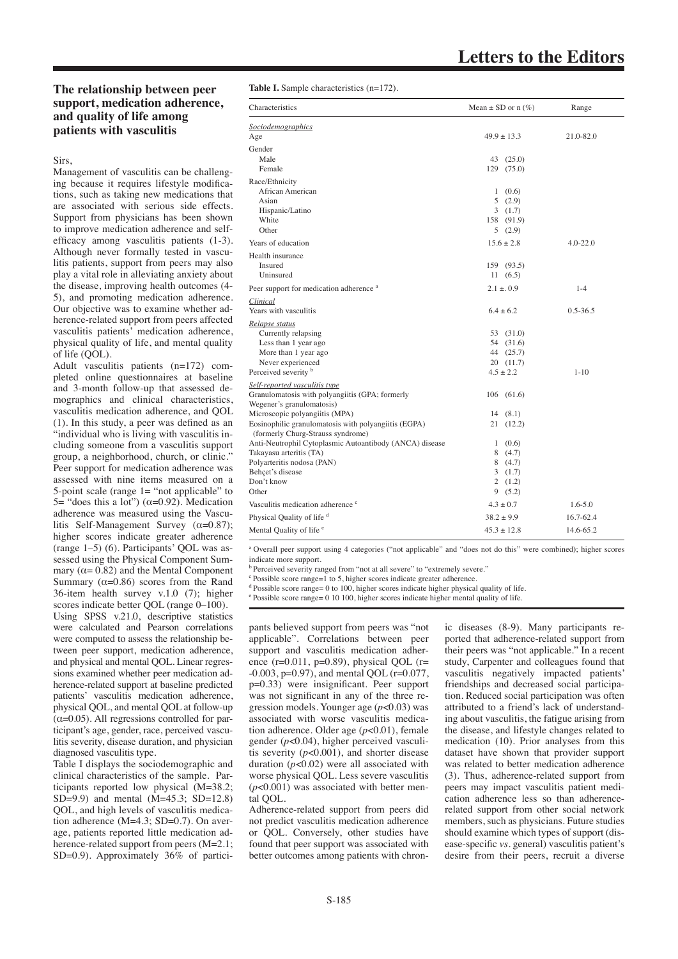## **The relationship between peer support, medication adherence, and quality of life among patients with vasculitis**

Sirs,

Management of vasculitis can be challenging because it requires lifestyle modifications, such as taking new medications that are associated with serious side effects. Support from physicians has been shown to improve medication adherence and selfefficacy among vasculitis patients (1-3). Although never formally tested in vasculitis patients, support from peers may also play a vital role in alleviating anxiety about the disease, improving health outcomes (4- 5), and promoting medication adherence. Our objective was to examine whether adherence-related support from peers affected vasculitis patients' medication adherence, physical quality of life, and mental quality of life (QOL).

Adult vasculitis patients (n=172) completed online questionnaires at baseline and 3-month follow-up that assessed demographics and clinical characteristics, vasculitis medication adherence, and QOL (1). In this study, a peer was defined as an "individual who is living with vasculitis including someone from a vasculitis support group, a neighborhood, church, or clinic." Peer support for medication adherence was assessed with nine items measured on a 5-point scale (range  $1 =$  "not applicable" to 5= "does this a lot") ( $α=0.92$ ). Medication adherence was measured using the Vasculitis Self-Management Survey  $(\alpha=0.87)$ ; higher scores indicate greater adherence (range 1–5) (6). Participants' QOL was assessed using the Physical Component Summary ( $\alpha$ = 0.82) and the Mental Component Summary ( $\alpha$ =0.86) scores from the Rand 36-item health survey v.1.0 (7); higher scores indicate better QOL (range 0–100). Using SPSS v.21.0, descriptive statistics were calculated and Pearson correlations were computed to assess the relationship between peer support, medication adherence, and physical and mental QOL. Linear regressions examined whether peer medication adherence-related support at baseline predicted patients' vasculitis medication adherence, physical QOL, and mental QOL at follow-up  $(\alpha=0.05)$ . All regressions controlled for participant's age, gender, race, perceived vasculitis severity, disease duration, and physician diagnosed vasculitis type.

Table I displays the sociodemographic and clinical characteristics of the sample. Participants reported low physical (M=38.2; SD=9.9) and mental  $(M=45.3; SD=12.8)$ QOL, and high levels of vasculitis medication adherence (M=4.3; SD=0.7). On average, patients reported little medication adherence-related support from peers (M=2.1; SD=0.9). Approximately 36% of partici**Table I.** Sample characteristics (n=172).

| Characteristics                                                                           | Mean $\pm$ SD or n $(\%)$ | Range        |
|-------------------------------------------------------------------------------------------|---------------------------|--------------|
| <b>Sociodemographics</b>                                                                  |                           |              |
| Age                                                                                       | $49.9 \pm 13.3$           | 21.0-82.0    |
| Gender                                                                                    |                           |              |
| Male                                                                                      | 43 (25.0)                 |              |
| Female                                                                                    | 129 (75.0)                |              |
| Race/Ethnicity                                                                            |                           |              |
| African American                                                                          | 1(0.6)                    |              |
| Asian                                                                                     | 5(2.9)                    |              |
| Hispanic/Latino                                                                           | 3(1.7)                    |              |
| White                                                                                     | 158 (91.9)                |              |
| Other                                                                                     | 5(2.9)                    |              |
| Years of education                                                                        | $15.6 \pm 2.8$            | $4.0 - 22.0$ |
| Health insurance                                                                          |                           |              |
| <b>Insured</b>                                                                            | 159 (93.5)                |              |
| Uninsured                                                                                 | 11(6.5)                   |              |
| Peer support for medication adherence <sup>a</sup>                                        | $2.1 \pm 0.9$             | $1 - 4$      |
| Clinical                                                                                  |                           |              |
| Years with vasculitis                                                                     | $6.4 \pm 6.2$             | $0.5 - 36.5$ |
| Relapse status                                                                            |                           |              |
| Currently relapsing                                                                       | 53 (31.0)                 |              |
| Less than 1 year ago                                                                      | 54 (31.6)                 |              |
| More than 1 year ago                                                                      | 44 (25.7)                 |              |
| Never experienced                                                                         | 20(11.7)                  |              |
| Perceived severity b                                                                      | $4.5 \pm 2.2$             | $1 - 10$     |
| Self-reported vasculitis type                                                             |                           |              |
| Granulomatosis with polyangiitis (GPA; formerly                                           | 106(61.6)                 |              |
| Wegener's granulomatosis)                                                                 |                           |              |
| Microscopic polyangiitis (MPA)                                                            | 14(8.1)                   |              |
| Eosinophilic granulomatosis with polyangiitis (EGPA)<br>(formerly Churg-Strauss syndrome) | 21 (12.2)                 |              |
| Anti-Neutrophil Cytoplasmic Autoantibody (ANCA) disease                                   | 1(0.6)                    |              |
| Takayasu arteritis (TA)                                                                   | 8(4.7)                    |              |
| Polyarteritis nodosa (PAN)                                                                | 8(4.7)                    |              |
| Behcet's disease                                                                          | 3(1.7)                    |              |
| Don't know                                                                                | 2(1.2)                    |              |
| Other                                                                                     | 9(5.2)                    |              |
| Vasculitis medication adherence <sup>c</sup>                                              | $4.3 \pm 0.7$             | $1.6 - 5.0$  |
| Physical Quality of life d                                                                | $38.2 \pm 9.9$            | 16.7-62.4    |
| Mental Quality of life <sup>e</sup>                                                       | $45.3 \pm 12.8$           | 14.6-65.2    |

<sup>a</sup> Overall peer support using 4 categories ("not applicable" and "does not do this" were combined); higher scores indicate more support.

<sup>b</sup> Perceived severity ranged from "not at all severe" to "extremely severe."

 $\degree$ Possible score range=1 to 5, higher scores indicate greater adherence.

 $d$ Possible score range= 0 to 100, higher scores indicate higher physical quality of life.

<sup>e</sup>Possible score range= 0 10 100, higher scores indicate higher mental quality of life.

pants believed support from peers was "not applicable". Correlations between peer support and vasculitis medication adherence (r=0.011, p=0.89), physical QOL (r= -0.003, p=0.97), and mental QOL (r=0.077, p=0.33) were insignificant. Peer support was not significant in any of the three regression models. Younger age (*p*<0.03) was associated with worse vasculitis medication adherence. Older age (*p*<0.01), female gender (*p*<0.04), higher perceived vasculitis severity (*p*<0.001), and shorter disease duration  $(p<0.02)$  were all associated with worse physical QOL. Less severe vasculitis (*p*<0.001) was associated with better mental QOL.

Adherence-related support from peers did not predict vasculitis medication adherence or QOL. Conversely, other studies have found that peer support was associated with better outcomes among patients with chron-

ic diseases (8-9). Many participants reported that adherence-related support from their peers was "not applicable." In a recent study, Carpenter and colleagues found that vasculitis negatively impacted patients' friendships and decreased social participation. Reduced social participation was often attributed to a friend's lack of understanding about vasculitis, the fatigue arising from the disease, and lifestyle changes related to medication (10). Prior analyses from this dataset have shown that provider support was related to better medication adherence (3). Thus, adherence-related support from peers may impact vasculitis patient medication adherence less so than adherencerelated support from other social network members, such as physicians. Future studies should examine which types of support (disease-specific *vs.* general) vasculitis patient's desire from their peers, recruit a diverse